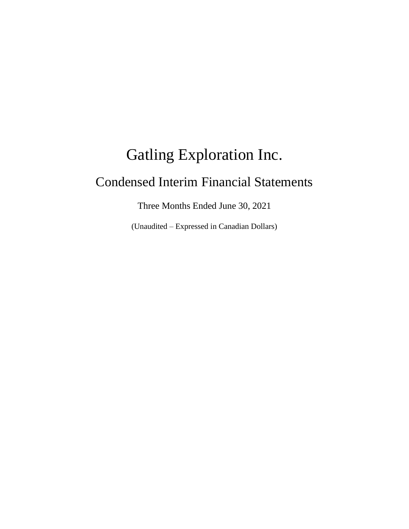# Gatling Exploration Inc. Condensed Interim Financial Statements

Three Months Ended June 30, 2021

(Unaudited – Expressed in Canadian Dollars)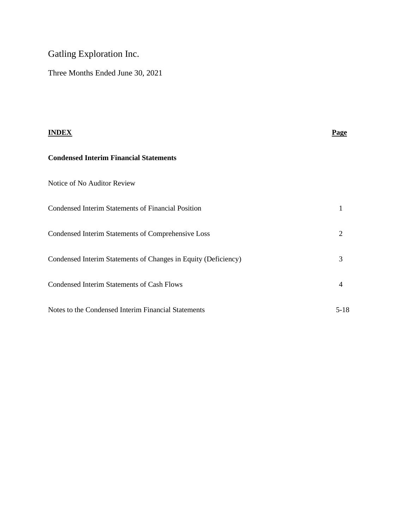# Gatling Exploration Inc.

Three Months Ended June 30, 2021

| <b>INDEX</b>                                                   | <b>Page</b> |
|----------------------------------------------------------------|-------------|
| <b>Condensed Interim Financial Statements</b>                  |             |
| Notice of No Auditor Review                                    |             |
| <b>Condensed Interim Statements of Financial Position</b>      |             |
| Condensed Interim Statements of Comprehensive Loss             | 2           |
| Condensed Interim Statements of Changes in Equity (Deficiency) | 3           |
| Condensed Interim Statements of Cash Flows                     | 4           |
| Notes to the Condensed Interim Financial Statements            | $5 - 18$    |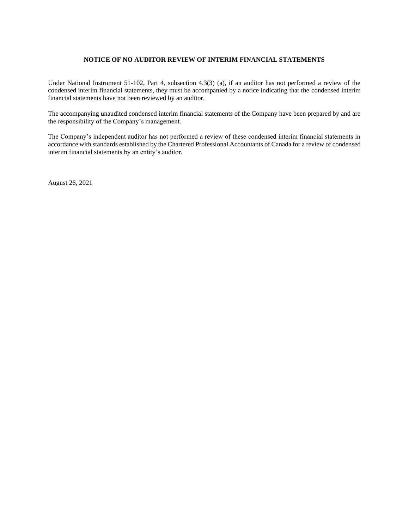## **NOTICE OF NO AUDITOR REVIEW OF INTERIM FINANCIAL STATEMENTS**

Under National Instrument 51-102, Part 4, subsection 4.3(3) (a), if an auditor has not performed a review of the condensed interim financial statements, they must be accompanied by a notice indicating that the condensed interim financial statements have not been reviewed by an auditor.

The accompanying unaudited condensed interim financial statements of the Company have been prepared by and are the responsibility of the Company's management.

The Company's independent auditor has not performed a review of these condensed interim financial statements in accordance with standards established by the Chartered Professional Accountants of Canada for a review of condensed interim financial statements by an entity's auditor.

August 26, 2021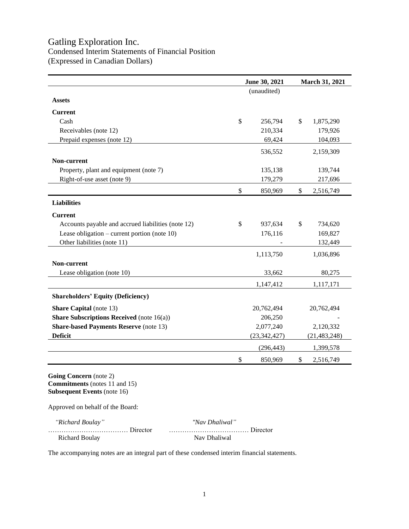# Gatling Exploration Inc. Condensed Interim Statements of Financial Position (Expressed in Canadian Dollars)

|                                                    | June 30, 2021 |                |    | March 31, 2021 |
|----------------------------------------------------|---------------|----------------|----|----------------|
|                                                    |               | (unaudited)    |    |                |
| <b>Assets</b>                                      |               |                |    |                |
| <b>Current</b>                                     |               |                |    |                |
| Cash                                               | \$            | 256,794        | \$ | 1,875,290      |
| Receivables (note 12)                              |               | 210,334        |    | 179,926        |
| Prepaid expenses (note 12)                         |               | 69,424         |    | 104,093        |
|                                                    |               | 536,552        |    | 2,159,309      |
| Non-current                                        |               |                |    |                |
| Property, plant and equipment (note 7)             |               | 135,138        |    | 139,744        |
| Right-of-use asset (note 9)                        |               | 179,279        |    | 217,696        |
|                                                    | \$            | 850,969        | \$ | 2,516,749      |
| <b>Liabilities</b>                                 |               |                |    |                |
| <b>Current</b>                                     |               |                |    |                |
| Accounts payable and accrued liabilities (note 12) | \$            | 937,634        | \$ | 734,620        |
| Lease obligation – current portion (note $10$ )    |               | 176,116        |    | 169,827        |
| Other liabilities (note 11)                        |               |                |    | 132,449        |
|                                                    |               | 1,113,750      |    | 1,036,896      |
| Non-current                                        |               |                |    |                |
| Lease obligation (note 10)                         |               | 33,662         |    | 80,275         |
|                                                    |               | 1,147,412      |    | 1,117,171      |
| <b>Shareholders' Equity (Deficiency)</b>           |               |                |    |                |
| <b>Share Capital</b> (note 13)                     |               | 20,762,494     |    | 20,762,494     |
| <b>Share Subscriptions Received</b> (note 16(a))   |               | 206,250        |    |                |
| <b>Share-based Payments Reserve (note 13)</b>      |               | 2,077,240      |    | 2,120,332      |
| <b>Deficit</b>                                     |               | (23, 342, 427) |    | (21, 483, 248) |
|                                                    |               | (296, 443)     |    | 1,399,578      |
|                                                    | \$            | 850,969        | \$ | 2,516,749      |

**Going Concern** (note 2) **Commitments** (notes 11 and 15) **Subsequent Events** (note 16)

Approved on behalf of the Board:

| "Richard Boulay"      | "Nav Dhaliwal" |
|-----------------------|----------------|
|                       |                |
| <b>Richard Boulay</b> | Nav Dhaliwal   |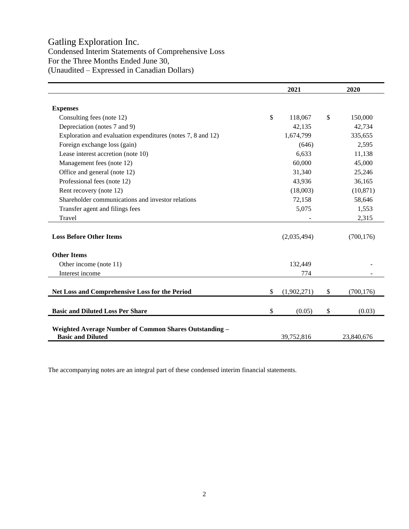# Gatling Exploration Inc.

Condensed Interim Statements of Comprehensive Loss For the Three Months Ended June 30, (Unaudited – Expressed in Canadian Dollars)

|                                                                                           | 2021 |             |    | 2020       |  |  |
|-------------------------------------------------------------------------------------------|------|-------------|----|------------|--|--|
|                                                                                           |      |             |    |            |  |  |
| <b>Expenses</b>                                                                           |      |             |    |            |  |  |
| Consulting fees (note 12)                                                                 | \$   | 118,067     | \$ | 150,000    |  |  |
| Depreciation (notes 7 and 9)                                                              |      | 42,135      |    | 42,734     |  |  |
| Exploration and evaluation expenditures (notes 7, 8 and 12)                               |      | 1,674,799   |    | 335,655    |  |  |
| Foreign exchange loss (gain)                                                              |      | (646)       |    | 2,595      |  |  |
| Lease interest accretion (note 10)                                                        |      | 6,633       |    | 11,138     |  |  |
| Management fees (note 12)                                                                 |      | 60,000      |    | 45,000     |  |  |
| Office and general (note 12)                                                              |      | 31,340      |    | 25,246     |  |  |
| Professional fees (note 12)                                                               |      | 43,936      |    | 36,165     |  |  |
| Rent recovery (note 12)                                                                   |      | (18,003)    |    | (10, 871)  |  |  |
| Shareholder communications and investor relations                                         |      | 72,158      |    | 58,646     |  |  |
| Transfer agent and filings fees                                                           |      | 5,075       |    | 1,553      |  |  |
| Travel                                                                                    |      |             |    | 2,315      |  |  |
|                                                                                           |      |             |    |            |  |  |
| <b>Loss Before Other Items</b>                                                            |      | (2,035,494) |    | (700, 176) |  |  |
| <b>Other Items</b>                                                                        |      |             |    |            |  |  |
| Other income (note 11)                                                                    |      | 132,449     |    |            |  |  |
| Interest income                                                                           |      | 774         |    |            |  |  |
|                                                                                           |      |             |    |            |  |  |
| Net Loss and Comprehensive Loss for the Period                                            | \$   | (1,902,271) | \$ | (700, 176) |  |  |
|                                                                                           |      |             |    |            |  |  |
| <b>Basic and Diluted Loss Per Share</b>                                                   | \$   | (0.05)      | \$ | (0.03)     |  |  |
|                                                                                           |      |             |    |            |  |  |
| <b>Weighted Average Number of Common Shares Outstanding -</b><br><b>Basic and Diluted</b> |      | 39,752,816  |    | 23,840,676 |  |  |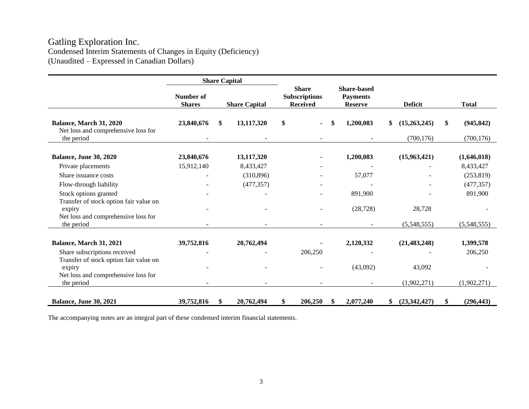# Gatling Exploration Inc. Condensed Interim Statements of Changes in Equity (Deficiency) (Unaudited – Expressed in Canadian Dollars)

|                                                                                         |                            |     | <b>Share Capital</b> |                                                         |                                                         |                                  |                                |
|-----------------------------------------------------------------------------------------|----------------------------|-----|----------------------|---------------------------------------------------------|---------------------------------------------------------|----------------------------------|--------------------------------|
|                                                                                         | Number of<br><b>Shares</b> |     | <b>Share Capital</b> | <b>Share</b><br><b>Subscriptions</b><br><b>Received</b> | <b>Share-based</b><br><b>Payments</b><br><b>Reserve</b> | <b>Deficit</b>                   | <b>Total</b>                   |
| Balance, March 31, 2020<br>Net loss and comprehensive loss for<br>the period            | 23,840,676                 | \$. | 13,117,320           | \$                                                      | 1,200,083                                               | (15,263,245)<br>\$<br>(700, 176) | \$<br>(945, 842)<br>(700, 176) |
|                                                                                         |                            |     |                      |                                                         |                                                         |                                  |                                |
| <b>Balance, June 30, 2020</b>                                                           | 23,840,676                 |     | 13,117,320           |                                                         | 1,200,083                                               | (15,963,421)                     | (1,646,018)                    |
| Private placements                                                                      | 15,912,140                 |     | 8,433,427            |                                                         |                                                         |                                  | 8,433,427                      |
| Share issuance costs                                                                    |                            |     | (310, 896)           |                                                         | 57,077                                                  |                                  | (253, 819)                     |
| Flow-through liability                                                                  |                            |     | (477, 357)           |                                                         |                                                         |                                  | (477, 357)                     |
| Stock options granted                                                                   |                            |     |                      |                                                         | 891,900                                                 |                                  | 891,900                        |
| Transfer of stock option fair value on<br>expiry<br>Net loss and comprehensive loss for |                            |     |                      |                                                         | (28, 728)                                               | 28,728                           |                                |
| the period                                                                              |                            |     |                      |                                                         |                                                         | (5,548,555)                      | (5,548,555)                    |
| Balance, March 31, 2021                                                                 | 39,752,816                 |     | 20,762,494           |                                                         | 2,120,332                                               | (21, 483, 248)                   | 1,399,578                      |
| Share subscriptions received                                                            |                            |     |                      | 206,250                                                 |                                                         |                                  | 206,250                        |
| Transfer of stock option fair value on<br>expiry<br>Net loss and comprehensive loss for |                            |     |                      |                                                         | (43,092)                                                | 43,092                           |                                |
| the period                                                                              |                            |     |                      |                                                         |                                                         | (1,902,271)                      | (1,902,271)                    |
| <b>Balance, June 30, 2021</b>                                                           | 39,752,816                 | \$  | 20,762,494           | 206,250<br>\$                                           | \$<br>2,077,240                                         | (23,342,427)<br>\$               | \$<br>(296, 443)               |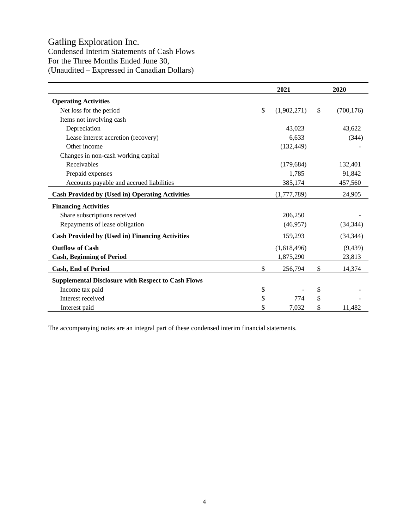# Gatling Exploration Inc.

Condensed Interim Statements of Cash Flows For the Three Months Ended June 30, (Unaudited – Expressed in Canadian Dollars)

|                                                           | 2021              | 2020             |
|-----------------------------------------------------------|-------------------|------------------|
| <b>Operating Activities</b>                               |                   |                  |
| Net loss for the period                                   | \$<br>(1,902,271) | \$<br>(700, 176) |
| Items not involving cash                                  |                   |                  |
| Depreciation                                              | 43,023            | 43,622           |
| Lease interest accretion (recovery)                       | 6,633             | (344)            |
| Other income                                              | (132, 449)        |                  |
| Changes in non-cash working capital                       |                   |                  |
| Receivables                                               | (179, 684)        | 132,401          |
| Prepaid expenses                                          | 1,785             | 91,842           |
| Accounts payable and accrued liabilities                  | 385,174           | 457,560          |
| <b>Cash Provided by (Used in) Operating Activities</b>    | (1,777,789)       | 24,905           |
| <b>Financing Activities</b>                               |                   |                  |
| Share subscriptions received                              | 206,250           |                  |
| Repayments of lease obligation                            | (46, 957)         | (34, 344)        |
| <b>Cash Provided by (Used in) Financing Activities</b>    | 159,293           | (34, 344)        |
| <b>Outflow of Cash</b>                                    | (1,618,496)       | (9, 439)         |
| <b>Cash, Beginning of Period</b>                          | 1,875,290         | 23,813           |
| <b>Cash, End of Period</b>                                | \$<br>256,794     | \$<br>14,374     |
| <b>Supplemental Disclosure with Respect to Cash Flows</b> |                   |                  |
| Income tax paid                                           | \$                | \$               |
| Interest received                                         | \$<br>774         | \$               |
| Interest paid                                             | \$<br>7,032       | \$<br>11,482     |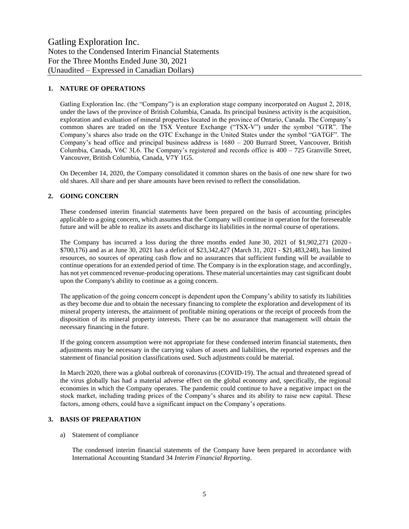# **1. NATURE OF OPERATIONS**

Gatling Exploration Inc. (the "Company") is an exploration stage company incorporated on August 2, 2018, under the laws of the province of British Columbia, Canada. Its principal business activity is the acquisition, exploration and evaluation of mineral properties located in the province of Ontario, Canada. The Company's common shares are traded on the TSX Venture Exchange ("TSX-V") under the symbol "GTR". The Company's shares also trade on the OTC Exchange in the United States under the symbol "GATGF". The Company's head office and principal business address is 1680 – 200 Burrard Street, Vancouver, British Columbia, Canada, V6C 3L6. The Company's registered and records office is 400 – 725 Granville Street, Vancouver, British Columbia, Canada, V7Y 1G5.

On December 14, 2020, the Company consolidated it common shares on the basis of one new share for two old shares. All share and per share amounts have been revised to reflect the consolidation.

#### **2. GOING CONCERN**

These condensed interim financial statements have been prepared on the basis of accounting principles applicable to a going concern, which assumes that the Company will continue in operation for the foreseeable future and will be able to realize its assets and discharge its liabilities in the normal course of operations.

The Company has incurred a loss during the three months ended June 30, 2021 of \$1,902,271 (2020 - \$700,176) and as at June 30, 2021 has a deficit of \$23,342,427 (March 31, 2021 - \$21,483,248), has limited resources, no sources of operating cash flow and no assurances that sufficient funding will be available to continue operations for an extended period of time. The Company is in the exploration stage, and accordingly, has not yet commenced revenue-producing operations. These material uncertainties may cast significant doubt upon the Company's ability to continue as a going concern.

The application of the going concern concept is dependent upon the Company's ability to satisfy its liabilities as they become due and to obtain the necessary financing to complete the exploration and development of its mineral property interests, the attainment of profitable mining operations or the receipt of proceeds from the disposition of its mineral property interests. There can be no assurance that management will obtain the necessary financing in the future.

If the going concern assumption were not appropriate for these condensed interim financial statements, then adjustments may be necessary in the carrying values of assets and liabilities, the reported expenses and the statement of financial position classifications used. Such adjustments could be material.

In March 2020, there was a global outbreak of coronavirus (COVID-19). The actual and threatened spread of the virus globally has had a material adverse effect on the global economy and, specifically, the regional economies in which the Company operates. The pandemic could continue to have a negative impact on the stock market, including trading prices of the Company's shares and its ability to raise new capital. These factors, among others, could have a significant impact on the Company's operations.

#### **3. BASIS OF PREPARATION**

#### a) Statement of compliance

The condensed interim financial statements of the Company have been prepared in accordance with International Accounting Standard 34 *Interim Financial Reporting*.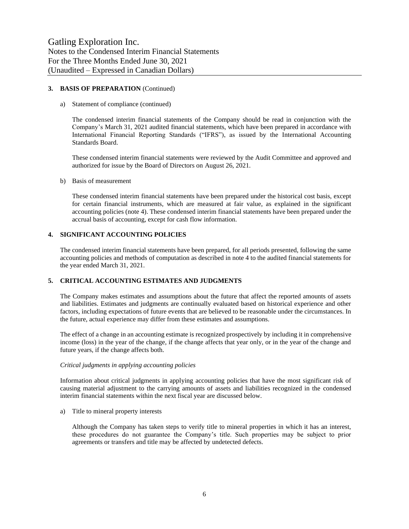## **3. BASIS OF PREPARATION** (Continued)

#### a) Statement of compliance (continued)

The condensed interim financial statements of the Company should be read in conjunction with the Company's March 31, 2021 audited financial statements, which have been prepared in accordance with International Financial Reporting Standards ("IFRS"), as issued by the International Accounting Standards Board.

These condensed interim financial statements were reviewed by the Audit Committee and approved and authorized for issue by the Board of Directors on August 26, 2021.

#### b) Basis of measurement

These condensed interim financial statements have been prepared under the historical cost basis, except for certain financial instruments, which are measured at fair value, as explained in the significant accounting policies (note 4). These condensed interim financial statements have been prepared under the accrual basis of accounting, except for cash flow information.

#### **4. SIGNIFICANT ACCOUNTING POLICIES**

The condensed interim financial statements have been prepared, for all periods presented, following the same accounting policies and methods of computation as described in note 4 to the audited financial statements for the year ended March 31, 2021.

#### **5. CRITICAL ACCOUNTING ESTIMATES AND JUDGMENTS**

The Company makes estimates and assumptions about the future that affect the reported amounts of assets and liabilities. Estimates and judgments are continually evaluated based on historical experience and other factors, including expectations of future events that are believed to be reasonable under the circumstances. In the future, actual experience may differ from these estimates and assumptions.

The effect of a change in an accounting estimate is recognized prospectively by including it in comprehensive income (loss) in the year of the change, if the change affects that year only, or in the year of the change and future years, if the change affects both.

#### *Critical judgments in applying accounting policies*

Information about critical judgments in applying accounting policies that have the most significant risk of causing material adjustment to the carrying amounts of assets and liabilities recognized in the condensed interim financial statements within the next fiscal year are discussed below.

a) Title to mineral property interests

Although the Company has taken steps to verify title to mineral properties in which it has an interest, these procedures do not guarantee the Company's title. Such properties may be subject to prior agreements or transfers and title may be affected by undetected defects.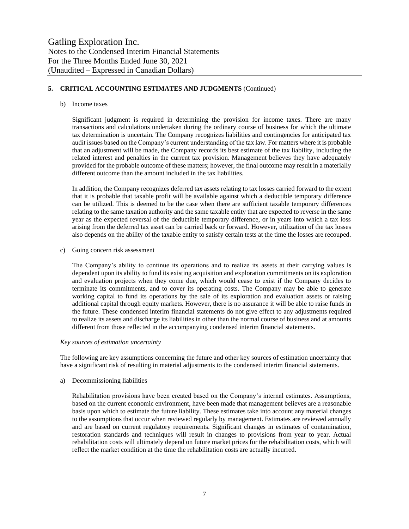# **5. CRITICAL ACCOUNTING ESTIMATES AND JUDGMENTS** (Continued)

#### b) Income taxes

Significant judgment is required in determining the provision for income taxes. There are many transactions and calculations undertaken during the ordinary course of business for which the ultimate tax determination is uncertain. The Company recognizes liabilities and contingencies for anticipated tax audit issues based on the Company's current understanding of the tax law. For matters where it is probable that an adjustment will be made, the Company records its best estimate of the tax liability, including the related interest and penalties in the current tax provision. Management believes they have adequately provided for the probable outcome of these matters; however, the final outcome may result in a materially different outcome than the amount included in the tax liabilities.

In addition, the Company recognizes deferred tax assets relating to tax losses carried forward to the extent that it is probable that taxable profit will be available against which a deductible temporary difference can be utilized. This is deemed to be the case when there are sufficient taxable temporary differences relating to the same taxation authority and the same taxable entity that are expected to reverse in the same year as the expected reversal of the deductible temporary difference, or in years into which a tax loss arising from the deferred tax asset can be carried back or forward. However, utilization of the tax losses also depends on the ability of the taxable entity to satisfy certain tests at the time the losses are recouped.

c) Going concern risk assessment

The Company's ability to continue its operations and to realize its assets at their carrying values is dependent upon its ability to fund its existing acquisition and exploration commitments on its exploration and evaluation projects when they come due, which would cease to exist if the Company decides to terminate its commitments, and to cover its operating costs. The Company may be able to generate working capital to fund its operations by the sale of its exploration and evaluation assets or raising additional capital through equity markets. However, there is no assurance it will be able to raise funds in the future. These condensed interim financial statements do not give effect to any adjustments required to realize its assets and discharge its liabilities in other than the normal course of business and at amounts different from those reflected in the accompanying condensed interim financial statements.

#### *Key sources of estimation uncertainty*

The following are key assumptions concerning the future and other key sources of estimation uncertainty that have a significant risk of resulting in material adjustments to the condensed interim financial statements.

#### a) Decommissioning liabilities

Rehabilitation provisions have been created based on the Company's internal estimates. Assumptions, based on the current economic environment, have been made that management believes are a reasonable basis upon which to estimate the future liability. These estimates take into account any material changes to the assumptions that occur when reviewed regularly by management. Estimates are reviewed annually and are based on current regulatory requirements. Significant changes in estimates of contamination, restoration standards and techniques will result in changes to provisions from year to year. Actual rehabilitation costs will ultimately depend on future market prices for the rehabilitation costs, which will reflect the market condition at the time the rehabilitation costs are actually incurred.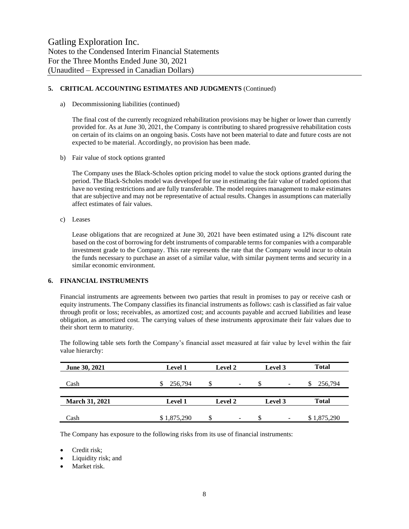# **5. CRITICAL ACCOUNTING ESTIMATES AND JUDGMENTS** (Continued)

a) Decommissioning liabilities (continued)

The final cost of the currently recognized rehabilitation provisions may be higher or lower than currently provided for. As at June 30, 2021, the Company is contributing to shared progressive rehabilitation costs on certain of its claims on an ongoing basis. Costs have not been material to date and future costs are not expected to be material. Accordingly, no provision has been made.

b) Fair value of stock options granted

The Company uses the Black-Scholes option pricing model to value the stock options granted during the period. The Black-Scholes model was developed for use in estimating the fair value of traded options that have no vesting restrictions and are fully transferable. The model requires management to make estimates that are subjective and may not be representative of actual results. Changes in assumptions can materially affect estimates of fair values.

c) Leases

Lease obligations that are recognized at June 30, 2021 have been estimated using a 12% discount rate based on the cost of borrowing for debt instruments of comparable terms for companies with a comparable investment grade to the Company. This rate represents the rate that the Company would incur to obtain the funds necessary to purchase an asset of a similar value, with similar payment terms and security in a similar economic environment.

# **6. FINANCIAL INSTRUMENTS**

Financial instruments are agreements between two parties that result in promises to pay or receive cash or equity instruments. The Company classifies its financial instruments as follows: cash is classified as fair value through profit or loss; receivables, as amortized cost; and accounts payable and accrued liabilities and lease obligation, as amortized cost. The carrying values of these instruments approximate their fair values due to their short term to maturity.

The following table sets forth the Company's financial asset measured at fair value by level within the fair value hierarchy:

| June 30, 2021         | <b>Level 1</b> | Level 2<br>Level 3              |                          | <b>Total</b> |
|-----------------------|----------------|---------------------------------|--------------------------|--------------|
| Cash                  | 256,794        | \$.<br>$\overline{\phantom{a}}$ | $\overline{\phantom{0}}$ | 256,794      |
|                       |                |                                 |                          |              |
| <b>March 31, 2021</b> | <b>Level 1</b> | <b>Level 2</b>                  | Level 3                  | <b>Total</b> |
|                       |                |                                 |                          |              |
| Cash                  | \$1,875,290    | \$.<br>$\overline{\phantom{a}}$ | S<br>-                   | \$1,875,290  |

The Company has exposure to the following risks from its use of financial instruments:

- Credit risk;
- Liquidity risk; and
- Market risk.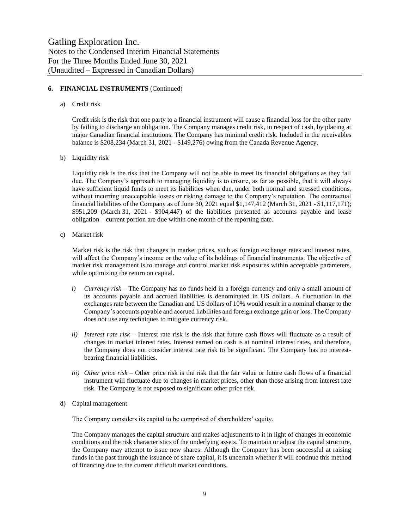# **6. FINANCIAL INSTRUMENTS** (Continued)

a) Credit risk

Credit risk is the risk that one party to a financial instrument will cause a financial loss for the other party by failing to discharge an obligation. The Company manages credit risk, in respect of cash, by placing at major Canadian financial institutions. The Company has minimal credit risk. Included in the receivables balance is \$208,234 (March 31, 2021 - \$149,276) owing from the Canada Revenue Agency.

b) Liquidity risk

Liquidity risk is the risk that the Company will not be able to meet its financial obligations as they fall due. The Company's approach to managing liquidity is to ensure, as far as possible, that it will always have sufficient liquid funds to meet its liabilities when due, under both normal and stressed conditions, without incurring unacceptable losses or risking damage to the Company's reputation. The contractual financial liabilities of the Company as of June 30, 2021 equal \$1,147,412 (March 31, 2021 - \$1,117,171); \$951,209 (March 31, 2021 - \$904,447) of the liabilities presented as accounts payable and lease obligation – current portion are due within one month of the reporting date.

c) Market risk

Market risk is the risk that changes in market prices, such as foreign exchange rates and interest rates, will affect the Company's income or the value of its holdings of financial instruments. The objective of market risk management is to manage and control market risk exposures within acceptable parameters, while optimizing the return on capital.

- *i) Currency risk –* The Company has no funds held in a foreign currency and only a small amount of its accounts payable and accrued liabilities is denominated in US dollars. A fluctuation in the exchanges rate between the Canadian and US dollars of 10% would result in a nominal change to the Company's accounts payable and accrued liabilities and foreign exchange gain or loss. The Company does not use any techniques to mitigate currency risk.
- *ii) Interest rate risk –* Interest rate risk is the risk that future cash flows will fluctuate as a result of changes in market interest rates. Interest earned on cash is at nominal interest rates, and therefore, the Company does not consider interest rate risk to be significant. The Company has no interestbearing financial liabilities.
- *iii) Other price risk –* Other price risk is the risk that the fair value or future cash flows of a financial instrument will fluctuate due to changes in market prices, other than those arising from interest rate risk. The Company is not exposed to significant other price risk.
- d) Capital management

The Company considers its capital to be comprised of shareholders' equity.

The Company manages the capital structure and makes adjustments to it in light of changes in economic conditions and the risk characteristics of the underlying assets. To maintain or adjust the capital structure, the Company may attempt to issue new shares. Although the Company has been successful at raising funds in the past through the issuance of share capital, it is uncertain whether it will continue this method of financing due to the current difficult market conditions.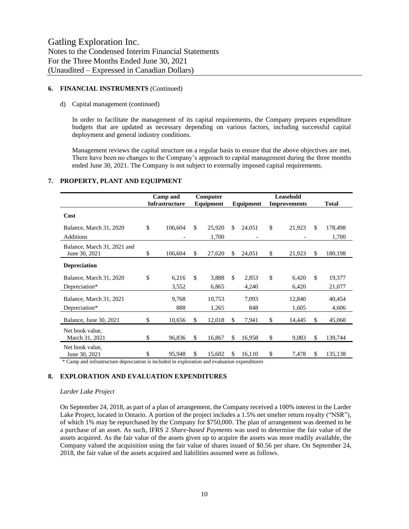#### **6. FINANCIAL INSTRUMENTS** (Continued)

#### d) Capital management (continued)

In order to facilitate the management of its capital requirements, the Company prepares expenditure budgets that are updated as necessary depending on various factors, including successful capital deployment and general industry conditions.

Management reviews the capital structure on a regular basis to ensure that the above objectives are met. There have been no changes to the Company's approach to capital management during the three months ended June 30, 2021. The Company is not subject to externally imposed capital requirements.

|                                              | Camp and<br>Computer<br><b>Infrastructure</b><br>Equipment |             | Leasehold<br>Equipment<br><b>Improvements</b> |        |     |        |    |        | <b>Total</b>  |         |
|----------------------------------------------|------------------------------------------------------------|-------------|-----------------------------------------------|--------|-----|--------|----|--------|---------------|---------|
| Cost                                         |                                                            |             |                                               |        |     |        |    |        |               |         |
| Balance, March 31, 2020                      | \$                                                         | 106,604     | \$                                            | 25,920 | \$  | 24,051 | \$ | 21,923 | <sup>\$</sup> | 178,498 |
| Additions                                    |                                                            |             |                                               | 1,700  |     |        |    |        |               | 1,700   |
| Balance, March 31, 2021 and<br>June 30, 2021 | \$                                                         | 106,604     | S                                             | 27,620 | \$. | 24,051 | \$ | 21,923 | \$            | 180,198 |
| <b>Depreciation</b>                          |                                                            |             |                                               |        |     |        |    |        |               |         |
| Balance, March 31, 2020                      | \$                                                         | 6,216       | \$                                            | 3,888  | \$  | 2,853  | \$ | 6,420  | <sup>\$</sup> | 19,377  |
| Depreciation*                                |                                                            | 3,552       |                                               | 6,865  |     | 4,240  |    | 6,420  |               | 21,077  |
| Balance, March 31, 2021                      |                                                            | 9,768       |                                               | 10,753 |     | 7,093  |    | 12,840 |               | 40,454  |
| Depreciation*                                |                                                            | 888         |                                               | 1,265  |     | 848    |    | 1,605  |               | 4,606   |
| Balance, June 30, 2021                       | \$                                                         | 10,656      | S                                             | 12,018 | \$  | 7,941  | \$ | 14,445 | S             | 45,060  |
| Net book value.<br>March 31, 2021            | \$                                                         | 96,836      | <sup>\$</sup>                                 | 16,867 | \$  | 16,958 | \$ | 9,083  | S.            | 139,744 |
| Net book value.<br>June 30, 2021             |                                                            | 95,948<br>. | \$                                            | 15,602 | \$  | 16,110 | \$ | 7,478  | \$            | 135,138 |

#### **7. PROPERTY, PLANT AND EQUIPMENT**

\* Camp and infrastructure depreciation is included in exploration and evaluation expenditures

# **8. EXPLORATION AND EVALUATION EXPENDITURES**

# *Larder Lake Project*

On September 24, 2018, as part of a plan of arrangement, the Company received a 100% interest in the Larder Lake Project, located in Ontario. A portion of the project includes a 1.5% net smelter return royalty ("NSR"), of which 1% may be repurchased by the Company for \$750,000. The plan of arrangement was deemed to be a purchase of an asset. As such, IFRS 2 *Share-based Payments* was used to determine the fair value of the assets acquired. As the fair value of the assets given up to acquire the assets was more readily available, the Company valued the acquisition using the fair value of shares issued of \$0.56 per share. On September 24, 2018, the fair value of the assets acquired and liabilities assumed were as follows.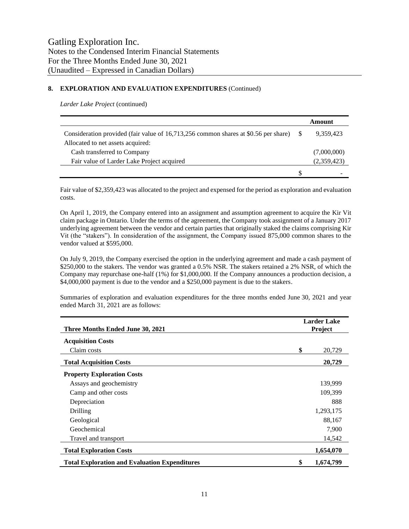# **8. EXPLORATION AND EVALUATION EXPENDITURES** (Continued)

*Larder Lake Project* (continued)

|                                                                                     |   | Amount      |
|-------------------------------------------------------------------------------------|---|-------------|
| Consideration provided (fair value of 16,713,256 common shares at \$0.56 per share) |   | 9.359.423   |
| Allocated to net assets acquired:                                                   |   |             |
| Cash transferred to Company                                                         |   | (7,000,000) |
| Fair value of Larder Lake Project acquired                                          |   | (2,359,423) |
|                                                                                     | S |             |

Fair value of \$2,359,423 was allocated to the project and expensed for the period as exploration and evaluation costs.

On April 1, 2019, the Company entered into an assignment and assumption agreement to acquire the Kir Vit claim package in Ontario. Under the terms of the agreement, the Company took assignment of a January 2017 underlying agreement between the vendor and certain parties that originally staked the claims comprising Kir Vit (the "stakers"). In consideration of the assignment, the Company issued 875,000 common shares to the vendor valued at \$595,000.

On July 9, 2019, the Company exercised the option in the underlying agreement and made a cash payment of \$250,000 to the stakers. The vendor was granted a 0.5% NSR. The stakers retained a 2% NSR, of which the Company may repurchase one-half (1%) for \$1,000,000. If the Company announces a production decision, a \$4,000,000 payment is due to the vendor and a \$250,000 payment is due to the stakers.

| Three Months Ended June 30, 2021                     |    | Larder Lake<br>Project |
|------------------------------------------------------|----|------------------------|
| <b>Acquisition Costs</b>                             |    |                        |
| Claim costs                                          | \$ | 20,729                 |
| <b>Total Acquisition Costs</b>                       |    | 20,729                 |
| <b>Property Exploration Costs</b>                    |    |                        |
| Assays and geochemistry                              |    | 139,999                |
| Camp and other costs                                 |    | 109,399                |
| Depreciation                                         |    | 888                    |
| Drilling                                             |    | 1,293,175              |
| Geological                                           |    | 88,167                 |
| Geochemical                                          |    | 7,900                  |
| Travel and transport                                 |    | 14,542                 |
| <b>Total Exploration Costs</b>                       |    | 1,654,070              |
| <b>Total Exploration and Evaluation Expenditures</b> | \$ | 1,674,799              |

Summaries of exploration and evaluation expenditures for the three months ended June 30, 2021 and year ended March 31, 2021 are as follows: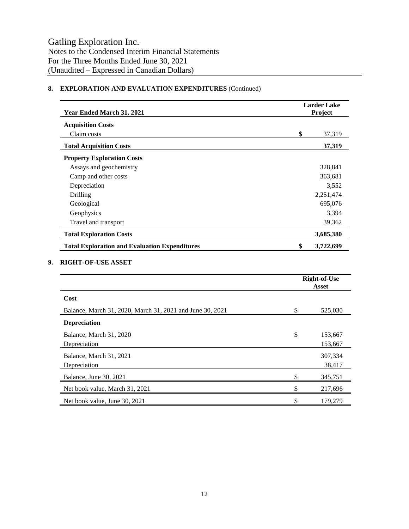# **8. EXPLORATION AND EVALUATION EXPENDITURES** (Continued)

| Year Ended March 31, 2021                            | <b>Larder Lake</b><br>Project |           |
|------------------------------------------------------|-------------------------------|-----------|
| <b>Acquisition Costs</b>                             |                               |           |
| Claim costs                                          | \$                            | 37,319    |
| <b>Total Acquisition Costs</b>                       |                               | 37,319    |
| <b>Property Exploration Costs</b>                    |                               |           |
| Assays and geochemistry                              |                               | 328,841   |
| Camp and other costs                                 |                               | 363,681   |
| Depreciation                                         |                               | 3,552     |
| Drilling                                             |                               | 2,251,474 |
| Geological                                           |                               | 695,076   |
| Geophysics                                           |                               | 3,394     |
| Travel and transport                                 |                               | 39,362    |
| <b>Total Exploration Costs</b>                       |                               | 3,685,380 |
| <b>Total Exploration and Evaluation Expenditures</b> | \$                            | 3,722,699 |

# **9. RIGHT-OF-USE ASSET**

|                                                           |     | <b>Right-of-Use</b><br>Asset |  |  |
|-----------------------------------------------------------|-----|------------------------------|--|--|
| Cost                                                      |     |                              |  |  |
| Balance, March 31, 2020, March 31, 2021 and June 30, 2021 | \$. | 525,030                      |  |  |
| <b>Depreciation</b>                                       |     |                              |  |  |
| Balance, March 31, 2020<br>Depreciation                   | \$  | 153,667<br>153,667           |  |  |
| Balance, March 31, 2021<br>Depreciation                   |     | 307,334<br>38,417            |  |  |
| Balance, June 30, 2021                                    | \$  | 345,751                      |  |  |
| Net book value, March 31, 2021                            | \$  | 217,696                      |  |  |
| Net book value, June 30, 2021                             |     | 179,279                      |  |  |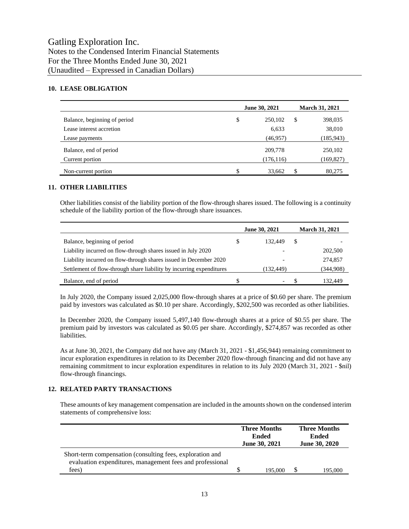# **10. LEASE OBLIGATION**

|                              | June 30, 2021 | <b>March 31, 2021</b> |
|------------------------------|---------------|-----------------------|
| Balance, beginning of period | \$<br>250,102 | \$<br>398,035         |
| Lease interest accretion     | 6,633         | 38,010                |
| Lease payments               | (46, 957)     | (185, 943)            |
| Balance, end of period       | 209,778       | 250,102               |
| Current portion              | (176, 116)    | (169, 827)            |
| Non-current portion          | \$<br>33,662  | 80,275                |

#### **11. OTHER LIABILITIES**

Other liabilities consist of the liability portion of the flow-through shares issued. The following is a continuity schedule of the liability portion of the flow-through share issuances.

|                                                                      | <b>June 30, 2021</b> |            | <b>March 31, 2021</b> |           |
|----------------------------------------------------------------------|----------------------|------------|-----------------------|-----------|
| Balance, beginning of period                                         | S                    | 132,449    | S                     |           |
| Liability incurred on flow-through shares issued in July 2020        |                      |            |                       | 202,500   |
| Liability incurred on flow-through shares issued in December 2020    |                      |            |                       | 274,857   |
| Settlement of flow-through share liability by incurring expenditures |                      | (132, 449) |                       | (344,908) |
| Balance, end of period                                               |                      |            |                       | 132.449   |

In July 2020, the Company issued 2,025,000 flow-through shares at a price of \$0.60 per share. The premium paid by investors was calculated as \$0.10 per share. Accordingly, \$202,500 was recorded as other liabilities.

In December 2020, the Company issued 5,497,140 flow-through shares at a price of \$0.55 per share. The premium paid by investors was calculated as \$0.05 per share. Accordingly, \$274,857 was recorded as other liabilities.

As at June 30, 2021, the Company did not have any (March 31, 2021 - \$1,456,944) remaining commitment to incur exploration expenditures in relation to its December 2020 flow-through financing and did not have any remaining commitment to incur exploration expenditures in relation to its July 2020 (March 31, 2021 - \$nil) flow-through financings.

#### **12. RELATED PARTY TRANSACTIONS**

These amounts of key management compensation are included in the amounts shown on the condensed interim statements of comprehensive loss:

|                                                                                                                        | <b>Three Months</b><br>Ended<br><b>June 30, 2021</b> | <b>Three Months</b><br><b>Ended</b><br><b>June 30, 2020</b> |
|------------------------------------------------------------------------------------------------------------------------|------------------------------------------------------|-------------------------------------------------------------|
| Short-term compensation (consulting fees, exploration and<br>evaluation expenditures, management fees and professional |                                                      |                                                             |
| fees)                                                                                                                  | 195,000                                              | 195.000                                                     |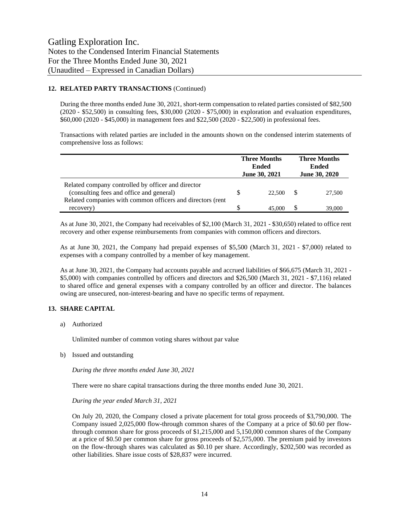# **12. RELATED PARTY TRANSACTIONS** (Continued)

During the three months ended June 30, 2021, short-term compensation to related parties consisted of \$82,500 (2020 - \$52,500) in consulting fees, \$30,000 (2020 - \$75,000) in exploration and evaluation expenditures, \$60,000 (2020 - \$45,000) in management fees and \$22,500 (2020 - \$22,500) in professional fees.

Transactions with related parties are included in the amounts shown on the condensed interim statements of comprehensive loss as follows:

|                                                                                                | <b>Three Months</b><br><b>Ended</b><br><b>June 30, 2021</b> |        | <b>Three Months</b><br>Ended<br><b>June 30, 2020</b> |        |
|------------------------------------------------------------------------------------------------|-------------------------------------------------------------|--------|------------------------------------------------------|--------|
| Related company controlled by officer and director<br>(consulting fees and office and general) |                                                             | 22,500 |                                                      | 27,500 |
| Related companies with common officers and directors (rent                                     |                                                             |        |                                                      |        |
| recovery)                                                                                      |                                                             | 45.000 |                                                      | 39,000 |

As at June 30, 2021, the Company had receivables of \$2,100 (March 31, 2021 - \$30,650) related to office rent recovery and other expense reimbursements from companies with common officers and directors.

As at June 30, 2021, the Company had prepaid expenses of \$5,500 (March 31, 2021 - \$7,000) related to expenses with a company controlled by a member of key management.

As at June 30, 2021, the Company had accounts payable and accrued liabilities of \$66,675 (March 31, 2021 - \$5,000) with companies controlled by officers and directors and \$26,500 (March 31, 2021 - \$7,116) related to shared office and general expenses with a company controlled by an officer and director. The balances owing are unsecured, non-interest-bearing and have no specific terms of repayment.

# **13. SHARE CAPITAL**

a) Authorized

Unlimited number of common voting shares without par value

b) Issued and outstanding

*During the three months ended June 30, 2021*

There were no share capital transactions during the three months ended June 30, 2021.

*During the year ended March 31, 2021*

On July 20, 2020, the Company closed a private placement for total gross proceeds of \$3,790,000. The Company issued 2,025,000 flow-through common shares of the Company at a price of \$0.60 per flowthrough common share for gross proceeds of \$1,215,000 and 5,150,000 common shares of the Company at a price of \$0.50 per common share for gross proceeds of \$2,575,000. The premium paid by investors on the flow-through shares was calculated as \$0.10 per share. Accordingly, \$202,500 was recorded as other liabilities. Share issue costs of \$28,837 were incurred.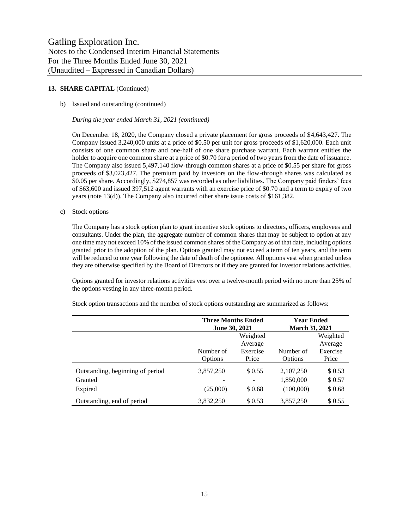## 13. **SHARE CAPITAL** (Continued)

#### b) Issued and outstanding (continued)

*During the year ended March 31, 2021 (continued)*

On December 18, 2020, the Company closed a private placement for gross proceeds of \$4,643,427. The Company issued 3,240,000 units at a price of \$0.50 per unit for gross proceeds of \$1,620,000. Each unit consists of one common share and one-half of one share purchase warrant. Each warrant entitles the holder to acquire one common share at a price of \$0.70 for a period of two years from the date of issuance. The Company also issued 5,497,140 flow-through common shares at a price of \$0.55 per share for gross proceeds of \$3,023,427. The premium paid by investors on the flow-through shares was calculated as \$0.05 per share. Accordingly, \$274,857 was recorded as other liabilities. The Company paid finders' fees of \$63,600 and issued 397,512 agent warrants with an exercise price of \$0.70 and a term to expiry of two years (note 13(d)). The Company also incurred other share issue costs of \$161,382.

c) Stock options

The Company has a stock option plan to grant incentive stock options to directors, officers, employees and consultants. Under the plan, the aggregate number of common shares that may be subject to option at any one time may not exceed 10% of the issued common shares of the Company as of that date, including options granted prior to the adoption of the plan. Options granted may not exceed a term of ten years, and the term will be reduced to one year following the date of death of the optionee. All options vest when granted unless they are otherwise specified by the Board of Directors or if they are granted for investor relations activities.

Options granted for investor relations activities vest over a twelve-month period with no more than 25% of the options vesting in any three-month period.

|                                  | <b>Three Months Ended</b> |          | <b>Year Ended</b>     |          |
|----------------------------------|---------------------------|----------|-----------------------|----------|
|                                  | <b>June 30, 2021</b>      |          | <b>March 31, 2021</b> |          |
|                                  | Weighted                  |          |                       | Weighted |
|                                  |                           | Average  |                       | Average  |
|                                  | Number of                 | Exercise | Number of             | Exercise |
|                                  | Options                   | Price    | <b>Options</b>        | Price    |
| Outstanding, beginning of period | 3,857,250                 | \$ 0.55  | 2,107,250             | \$0.53   |
| Granted                          |                           |          | 1,850,000             | \$0.57   |
| Expired                          | (25,000)                  | \$0.68   | (100,000)             | \$0.68   |
| Outstanding, end of period       | 3.832.250                 | \$0.53   | 3,857,250             | \$ 0.55  |

Stock option transactions and the number of stock options outstanding are summarized as follows: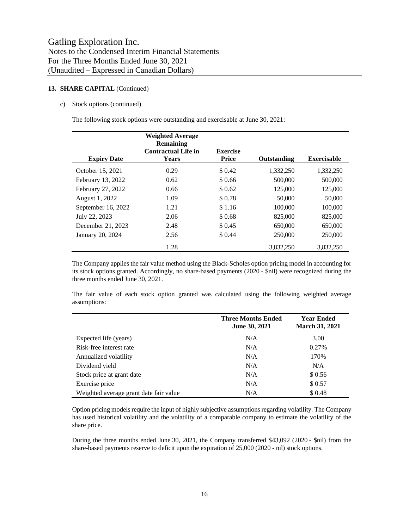## 13. **SHARE CAPITAL** (Continued)

#### c) Stock options (continued)

The following stock options were outstanding and exercisable at June 30, 2021:

|                    | <b>Weighted Average</b><br>Remaining<br><b>Contractual Life in</b> | <b>Exercise</b> |             |                    |
|--------------------|--------------------------------------------------------------------|-----------------|-------------|--------------------|
| <b>Expiry Date</b> | <b>Years</b>                                                       | Price           | Outstanding | <b>Exercisable</b> |
| October 15, 2021   | 0.29                                                               | \$ 0.42         | 1,332,250   | 1,332,250          |
| February 13, 2022  | 0.62                                                               | \$0.66          | 500,000     | 500,000            |
| February 27, 2022  | 0.66                                                               | \$ 0.62         | 125,000     | 125,000            |
| August 1, 2022     | 1.09                                                               | \$0.78          | 50,000      | 50,000             |
| September 16, 2022 | 1.21                                                               | \$1.16          | 100,000     | 100,000            |
| July 22, 2023      | 2.06                                                               | \$0.68          | 825,000     | 825,000            |
| December 21, 2023  | 2.48                                                               | \$ 0.45         | 650,000     | 650,000            |
| January 20, 2024   | 2.56                                                               | \$ 0.44         | 250,000     | 250,000            |
|                    | 1.28                                                               |                 | 3.832.250   | 3.832.250          |

The Company applies the fair value method using the Black-Scholes option pricing model in accounting for its stock options granted. Accordingly, no share-based payments (2020 - \$nil) were recognized during the three months ended June 30, 2021.

The fair value of each stock option granted was calculated using the following weighted average assumptions:

|                                        | <b>Three Months Ended</b><br><b>June 30, 2021</b> | <b>Year Ended</b><br>March 31, 2021 |
|----------------------------------------|---------------------------------------------------|-------------------------------------|
| Expected life (years)                  | N/A                                               | 3.00                                |
| Risk-free interest rate                | N/A                                               | 0.27%                               |
| Annualized volatility                  | N/A                                               | 170%                                |
| Dividend yield                         | N/A                                               | N/A                                 |
| Stock price at grant date              | N/A                                               | \$0.56                              |
| Exercise price                         | N/A                                               | \$0.57                              |
| Weighted average grant date fair value | N/A                                               | \$0.48                              |

Option pricing models require the input of highly subjective assumptions regarding volatility. The Company has used historical volatility and the volatility of a comparable company to estimate the volatility of the share price.

During the three months ended June 30, 2021, the Company transferred \$43,092 (2020 - \$nil) from the share-based payments reserve to deficit upon the expiration of 25,000 (2020 - nil) stock options.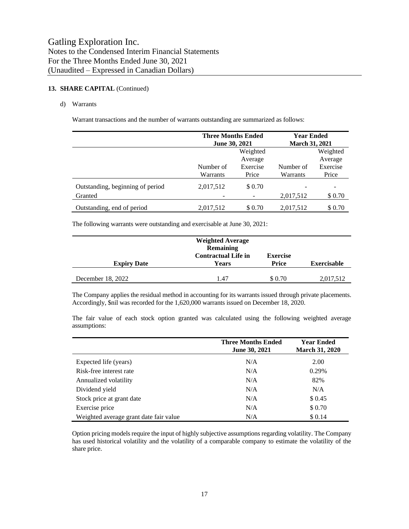# 13. **SHARE CAPITAL** (Continued)

#### d) Warrants

Warrant transactions and the number of warrants outstanding are summarized as follows:

|                                  | <b>Three Months Ended</b><br><b>June 30, 2021</b> |          | <b>Year Ended</b><br><b>March 31, 2021</b> |          |
|----------------------------------|---------------------------------------------------|----------|--------------------------------------------|----------|
|                                  | Weighted                                          |          |                                            | Weighted |
|                                  |                                                   | Average  |                                            | Average  |
|                                  | Number of                                         | Exercise | Number of                                  | Exercise |
|                                  | Warrants                                          | Price    | Warrants                                   | Price    |
| Outstanding, beginning of period | 2,017,512                                         | \$ 0.70  |                                            |          |
| Granted                          |                                                   |          | 2,017,512                                  | \$0.70   |
| Outstanding, end of period       | 2,017,512                                         | \$0.70   | 2,017,512                                  | \$0.70   |

The following warrants were outstanding and exercisable at June 30, 2021:

| <b>Expiry Date</b> | <b>Weighted Average</b><br><b>Remaining</b><br><b>Contractual Life in</b><br><b>Years</b> | <b>Exercise</b><br><b>Price</b> | <b>Exercisable</b> |
|--------------------|-------------------------------------------------------------------------------------------|---------------------------------|--------------------|
| December 18, 2022  | 1.47                                                                                      | \$ 0.70                         | 2,017,512          |

The Company applies the residual method in accounting for its warrants issued through private placements. Accordingly, \$nil was recorded for the 1,620,000 warrants issued on December 18, 2020.

The fair value of each stock option granted was calculated using the following weighted average assumptions:

|                                        | <b>Three Months Ended</b><br><b>June 30, 2021</b> | <b>Year Ended</b><br><b>March 31, 2020</b> |
|----------------------------------------|---------------------------------------------------|--------------------------------------------|
| Expected life (years)                  | N/A                                               | 2.00                                       |
| Risk-free interest rate                | N/A                                               | 0.29%                                      |
| Annualized volatility                  | N/A                                               | 82%                                        |
| Dividend yield                         | N/A                                               | N/A                                        |
| Stock price at grant date              | N/A                                               | \$0.45                                     |
| Exercise price                         | N/A                                               | \$0.70                                     |
| Weighted average grant date fair value | N/A                                               | \$0.14                                     |

Option pricing models require the input of highly subjective assumptions regarding volatility. The Company has used historical volatility and the volatility of a comparable company to estimate the volatility of the share price.